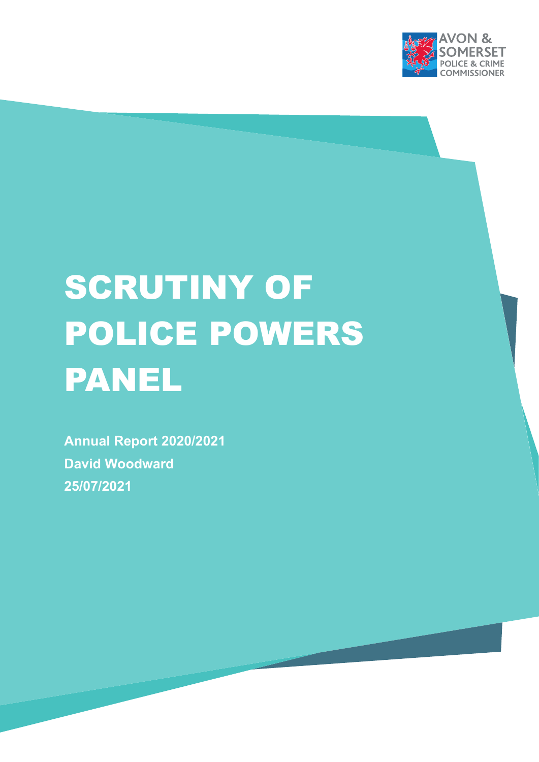

# **SCRUTINY OF** POLICE POWERS PANEL

**Annual Report 2020/2021 David Woodward 25/07/2021**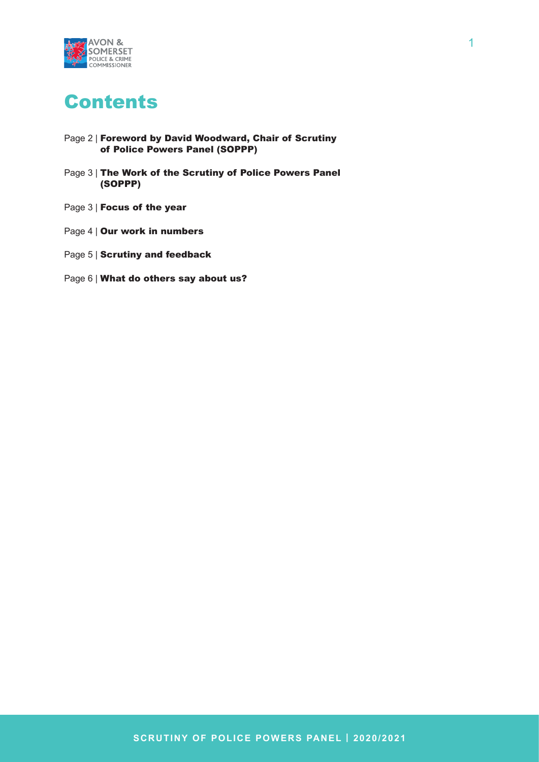

# Contents

- Page 2 | Foreword by David Woodward, Chair of Scrutiny of Police Powers Panel (SOPPP)
- Page 3 | The Work of the Scrutiny of Police Powers Panel (SOPPP)
- Page 3 | **Focus of the year**
- Page 4 | Our work in numbers
- Page 5 | Scrutiny and feedback
- Page 6 | What do others say about us?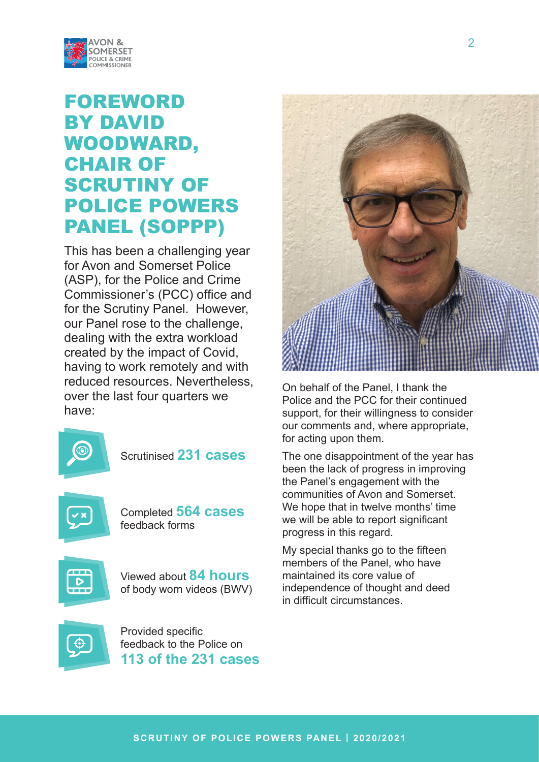

# FOREWORD BY DAVID WOODWARD, CHAIR OF **SCRUTINY OF** POLICE POWERS PANEL (SOPPP)

This has been a challenging year for Avon and Somerset Police (ASP), for the Police and Crime Commissioner's (PCC) office and for the Scrutiny Panel. However, our Panel rose to the challenge, dealing with the extra workload created by the impact of Covid, having to work remotely and with reduced resources. Nevertheless, over the last four quarters we have:



Scrutinised **231 cases**



Completed **564 cases** feedback forms



Viewed about **84 hours** of body worn videos (BWV)



Provided specific feedback to the Police on **113 of the 231 cases**



On behalf of the Panel, I thank the Police and the PCC for their continued support, for their willingness to consider our comments and, where appropriate, for acting upon them.

The one disappointment of the year has been the lack of progress in improving the Panel's engagement with the communities of Avon and Somerset. We hope that in twelve months' time we will be able to report significant progress in this regard.

My special thanks go to the fifteen members of the Panel, who have maintained its core value of independence of thought and deed in difficult circumstances.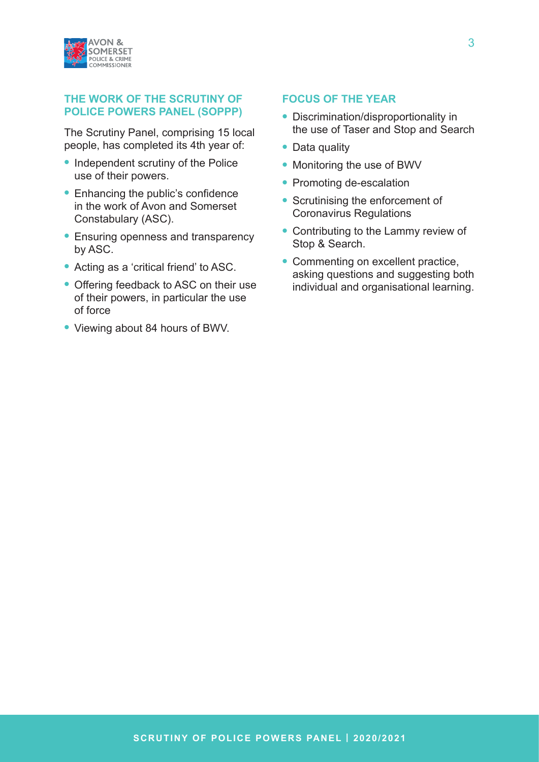

## **THE WORK OF THE SCRUTINY OF POLICE POWERS PANEL (SOPPP)**

The Scrutiny Panel, comprising 15 local people, has completed its 4th year of:

- **•** Independent scrutiny of the Police use of their powers.
- **•** Enhancing the public's confidence in the work of Avon and Somerset Constabulary (ASC).
- **•** Ensuring openness and transparency by ASC.
- **•** Acting as a 'critical friend' to ASC.
- **•** Offering feedback to ASC on their use of their powers, in particular the use of force
- **•** Viewing about 84 hours of BWV.

# **FOCUS OF THE YEAR**

- **•** Discrimination/disproportionality in the use of Taser and Stop and Search
- **•** Data quality
- **•** Monitoring the use of BWV
- **•** Promoting de-escalation
- **•** Scrutinising the enforcement of Coronavirus Regulations
- **•** Contributing to the Lammy review of Stop & Search.
- **•** Commenting on excellent practice, asking questions and suggesting both individual and organisational learning.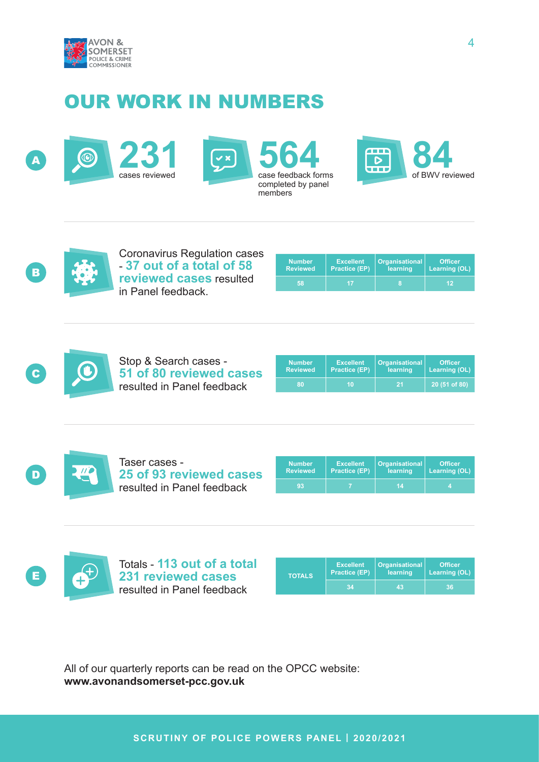

# OUR WORK IN NUMBERS









Coronavirus Regulation cases - **37 out of a total of 58 reviewed cases** resulted in Panel feedback.

| <b>Number</b>   | <b>Excellent</b>     | <b>Organisational</b> | <b>Officer</b> |
|-----------------|----------------------|-----------------------|----------------|
| <b>Reviewed</b> | <b>Practice (EP)</b> | learning              | Learning (OL)  |
| 58              |                      | 8                     | 12             |



Stop & Search cases - **51 of 80 reviewed cases** resulted in Panel feedback

| <b>Number</b>   | <b>Excellent</b>     | <b>Organisational</b> | <b>Officer</b> |
|-----------------|----------------------|-----------------------|----------------|
| <b>Reviewed</b> | <b>Practice (EP)</b> | learning              | Learning (OL)  |
| ßО.             | 10                   | -21                   | 20 (51 of 80)  |



Taser cases - **25 of 93 reviewed cases** resulted in Panel feedback

| <b>Number</b>   | <b>Excellent</b>     | <b>Organisational</b> | <b>Officer</b> |
|-----------------|----------------------|-----------------------|----------------|
| <b>Reviewed</b> | <b>Practice (EP)</b> | learning              | Learning (OL)  |
| 93              |                      | 14                    |                |



Totals - **113 out of a total E 4 231 reviewed cases TOTALS** resulted in Panel feedback

| <b>TOTALS</b> | <b>Excellent</b><br><b>Practice (EP)</b> | <b>Organisational</b><br>learning | <b>Officer</b><br>Learning (OL) |
|---------------|------------------------------------------|-----------------------------------|---------------------------------|
|               | 34                                       | 43                                | 367                             |

All of our quarterly reports can be read on the OPCC website: **www.avonandsomerset-pcc.gov.uk**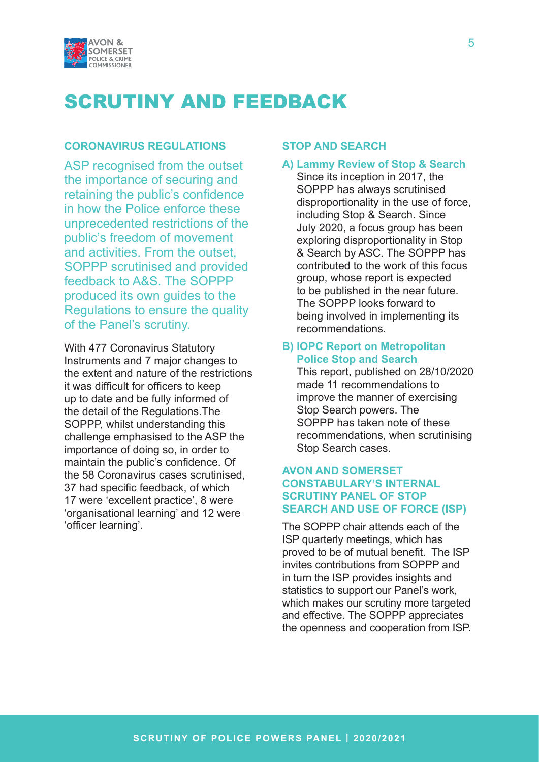

# SCRUTINY AND FEEDBACK

# **CORONAVIRUS REGULATIONS**

ASP recognised from the outset the importance of securing and retaining the public's confidence in how the Police enforce these unprecedented restrictions of the public's freedom of movement and activities. From the outset, SOPPP scrutinised and provided feedback to A&S. The SOPPP produced its own guides to the Regulations to ensure the quality of the Panel's scrutiny.

With 477 Coronavirus Statutory Instruments and 7 major changes to the extent and nature of the restrictions it was difficult for officers to keep up to date and be fully informed of the detail of the Regulations.The SOPPP, whilst understanding this challenge emphasised to the ASP the importance of doing so, in order to maintain the public's confidence. Of the 58 Coronavirus cases scrutinised, 37 had specific feedback, of which 17 were 'excellent practice', 8 were 'organisational learning' and 12 were 'officer learning'.

#### **STOP AND SEARCH**

## **A) Lammy Review of Stop & Search**

Since its inception in 2017, the SOPPP has always scrutinised disproportionality in the use of force, including Stop & Search. Since July 2020, a focus group has been exploring disproportionality in Stop & Search by ASC. The SOPPP has contributed to the work of this focus group, whose report is expected to be published in the near future. The SOPPP looks forward to being involved in implementing its recommendations.

# **B) IOPC Report on Metropolitan Police Stop and Search**

This report, published on 28/10/2020 made 11 recommendations to improve the manner of exercising Stop Search powers. The SOPPP has taken note of these recommendations, when scrutinising Stop Search cases.

# **AVON AND SOMERSET CONSTABULARY'S INTERNAL SCRUTINY PANEL OF STOP SEARCH AND USE OF FORCE (ISP)**

The SOPPP chair attends each of the ISP quarterly meetings, which has proved to be of mutual benefit. The ISP invites contributions from SOPPP and in turn the ISP provides insights and statistics to support our Panel's work, which makes our scrutiny more targeted and effective. The SOPPP appreciates the openness and cooperation from ISP.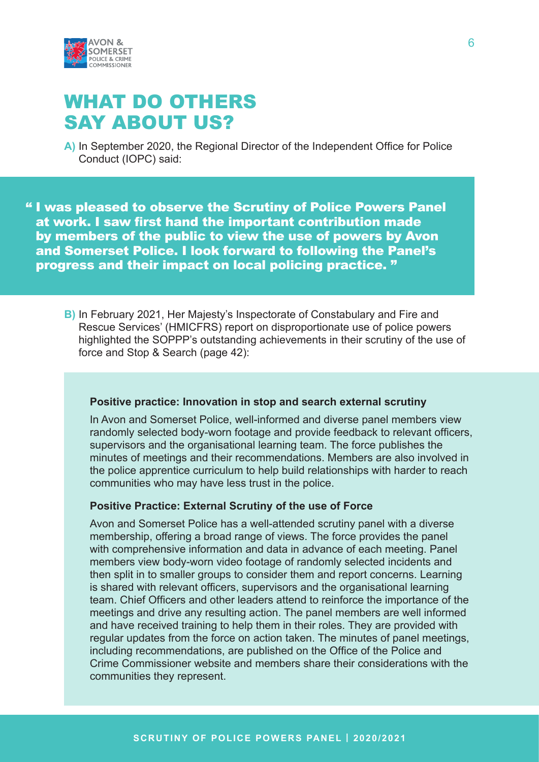

# WHAT DO OTHERS SAY ABOUT US?

**A)** In September 2020, the Regional Director of the Independent Office for Police Conduct (IOPC) said:

" I was pleased to observe the Scrutiny of Police Powers Panel at work. I saw first hand the important contribution made by members of the public to view the use of powers by Avon and Somerset Police. I look forward to following the Panel's progress and their impact on local policing practice. "

**B)** In February 2021, Her Majesty's Inspectorate of Constabulary and Fire and Rescue Services' (HMICFRS) report on disproportionate use of police powers highlighted the SOPPP's outstanding achievements in their scrutiny of the use of force and Stop & Search (page 42):

## **Positive practice: Innovation in stop and search external scrutiny**

In Avon and Somerset Police, well-informed and diverse panel members view randomly selected body-worn footage and provide feedback to relevant officers, supervisors and the organisational learning team. The force publishes the minutes of meetings and their recommendations. Members are also involved in the police apprentice curriculum to help build relationships with harder to reach communities who may have less trust in the police.

# **Positive Practice: External Scrutiny of the use of Force**

Avon and Somerset Police has a well-attended scrutiny panel with a diverse membership, offering a broad range of views. The force provides the panel with comprehensive information and data in advance of each meeting. Panel members view body-worn video footage of randomly selected incidents and then split in to smaller groups to consider them and report concerns. Learning is shared with relevant officers, supervisors and the organisational learning team. Chief Officers and other leaders attend to reinforce the importance of the meetings and drive any resulting action. The panel members are well informed and have received training to help them in their roles. They are provided with regular updates from the force on action taken. The minutes of panel meetings, including recommendations, are published on the Office of the Police and Crime Commissioner website and members share their considerations with the communities they represent.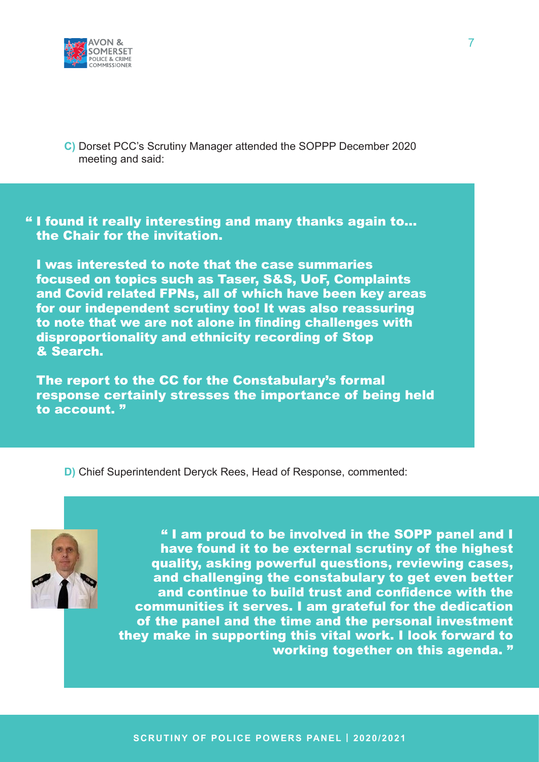

**C)** Dorset PCC's Scrutiny Manager attended the SOPPP December 2020 meeting and said:

" I found it really interesting and many thanks again to… the Chair for the invitation.

I was interested to note that the case summaries focused on topics such as Taser, S&S, UoF, Complaints and Covid related FPNs, all of which have been key areas for our independent scrutiny too! It was also reassuring to note that we are not alone in finding challenges with disproportionality and ethnicity recording of Stop & Search.

The report to the CC for the Constabulary's formal response certainly stresses the importance of being held to account. "

**D)** Chief Superintendent Deryck Rees, Head of Response, commented:



" I am proud to be involved in the SOPP panel and I have found it to be external scrutiny of the highest quality, asking powerful questions, reviewing cases, and challenging the constabulary to get even better and continue to build trust and confidence with the communities it serves. I am grateful for the dedication of the panel and the time and the personal investment they make in supporting this vital work. I look forward to working together on this agenda. "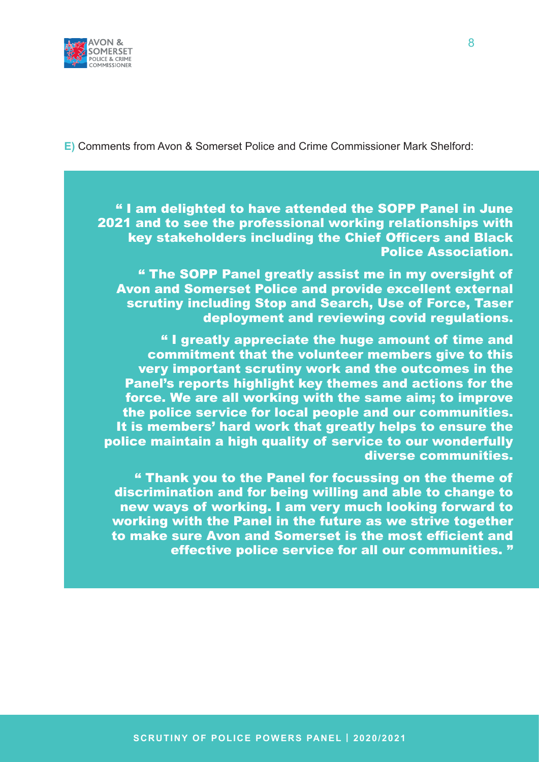

**E)** Comments from Avon & Somerset Police and Crime Commissioner Mark Shelford:

" I am delighted to have attended the SOPP Panel in June 2021 and to see the professional working relationships with key stakeholders including the Chief Officers and Black Police Association.

" The SOPP Panel greatly assist me in my oversight of Avon and Somerset Police and provide excellent external scrutiny including Stop and Search, Use of Force, Taser deployment and reviewing covid regulations.

" I greatly appreciate the huge amount of time and commitment that the volunteer members give to this very important scrutiny work and the outcomes in the Panel's reports highlight key themes and actions for the force. We are all working with the same aim; to improve the police service for local people and our communities. It is members' hard work that greatly helps to ensure the police maintain a high quality of service to our wonderfully diverse communities.

" Thank you to the Panel for focussing on the theme of discrimination and for being willing and able to change to new ways of working. I am very much looking forward to working with the Panel in the future as we strive together to make sure Avon and Somerset is the most efficient and effective police service for all our communities. "